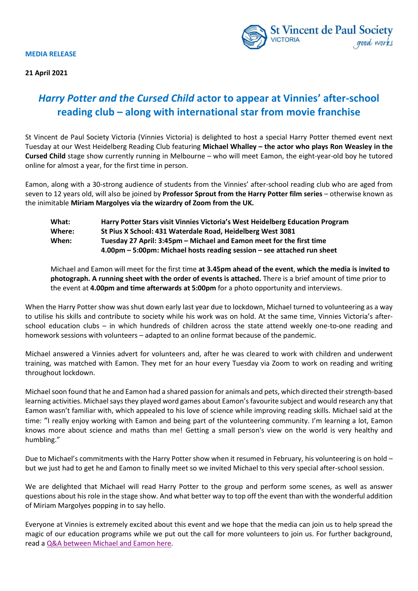#### **MEDIA RELEASE**





# *Harry Potter and the Cursed Child* **actor to appear at Vinnies' after-school reading club – along with international star from movie franchise**

St Vincent de Paul Society Victoria (Vinnies Victoria) is delighted to host a special Harry Potter themed event next Tuesday at our West Heidelberg Reading Club featuring **Michael Whalley – the actor who plays Ron Weasley in the Cursed Child** stage show currently running in Melbourne – who will meet Eamon, the eight-year-old boy he tutored online for almost a year, for the first time in person.

Eamon, along with a 30-strong audience of students from the Vinnies' after-school reading club who are aged from seven to 12 years old, will also be joined by **Professor Sprout from the Harry Potter film series** – otherwise known as the inimitable **Miriam Margolyes via the wizardry of Zoom from the UK.**

| What:  | Harry Potter Stars visit Vinnies Victoria's West Heidelberg Education Program |
|--------|-------------------------------------------------------------------------------|
| Where: | St Pius X School: 431 Waterdale Road, Heidelberg West 3081                    |
| When:  | Tuesday 27 April: 3:45pm – Michael and Eamon meet for the first time          |
|        | 4.00pm – 5:00pm: Michael hosts reading session – see attached run sheet       |

Michael and Eamon will meet for the first time **at 3.45pm ahead of the event**, **which the media is invited to photograph. A running sheet with the order of events is attached.** There is a brief amount of time prior to the event at **4.00pm and time afterwards at 5:00pm** for a photo opportunity and interviews.

When the Harry Potter show was shut down early last year due to lockdown, Michael turned to volunteering as a way to utilise his skills and contribute to society while his work was on hold. At the same time, Vinnies Victoria's afterschool education clubs – in which hundreds of children across the state attend weekly one-to-one reading and homework sessions with volunteers – adapted to an online format because of the pandemic.

Michael answered a Vinnies advert for volunteers and, after he was cleared to work with children and underwent training, was matched with Eamon. They met for an hour every Tuesday via Zoom to work on reading and writing throughout lockdown.

Michael soon found that he and Eamon had a shared passion for animals and pets, which directed their strength-based learning activities. Michael says they played word games about Eamon's favourite subject and would research any that Eamon wasn't familiar with, which appealed to his love of science while improving reading skills. Michael said at the time: "I really enjoy working with Eamon and being part of the volunteering community. I'm learning a lot, Eamon knows more about science and maths than me! Getting a small person's view on the world is very healthy and humbling."

Due to Michael's commitments with the Harry Potter show when it resumed in February, his volunteering is on hold – but we just had to get he and Eamon to finally meet so we invited Michael to this very special after-school session.

We are delighted that Michael will read Harry Potter to the group and perform some scenes, as well as answer questions about his role in the stage show. And what better way to top off the event than with the wonderful addition of Miriam Margolyes popping in to say hello.

Everyone at Vinnies is extremely excited about this event and we hope that the media can join us to help spread the magic of our education programs while we put out the call for more volunteers to join us. For further background, read [a Q&A between Michael and Eamon here.](https://www.vinnies.org.au/page/Publications/VICTORIA/Our_Services/Education/When_Michael_met_Eamon/)